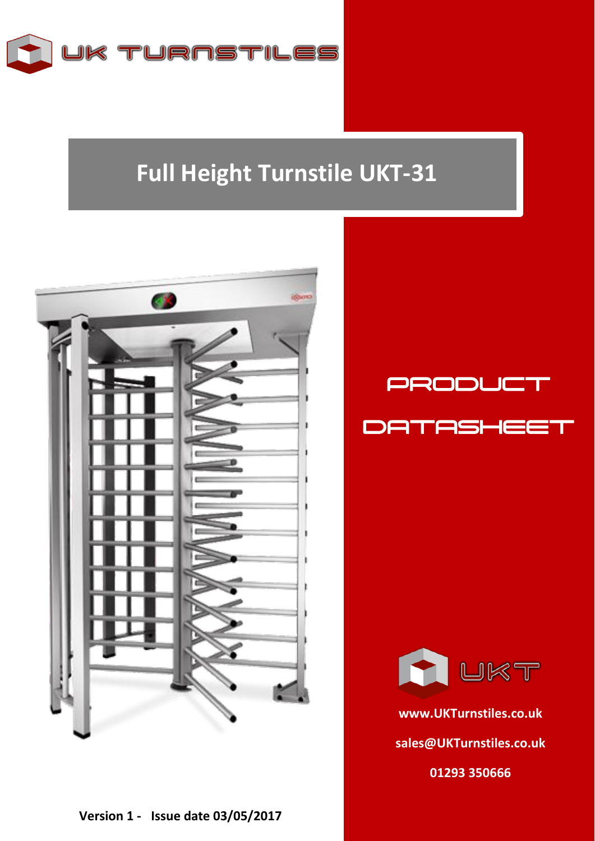

## **Full Height Turnstile UKT-31**







**[www.UKTurnstiles.co.uk](http://www.ukturnstiles.co.uk/) [sales@UKTurnstiles.co.uk](mailto:sales@UKTurnstiles.co.uk) 01293 350666**